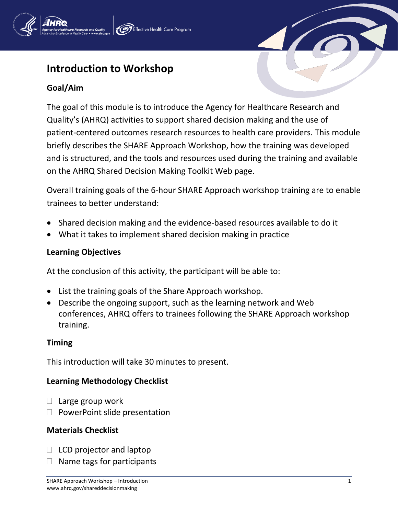# **Introduction to Workshop**

## **Goal/Aim**

The goal of this module is to introduce the Agency for Healthcare Research and Quality's (AHRQ) activities to support shared decision making and the use of patient-centered outcomes research resources to health care providers. This module briefly describes the SHARE Approach Workshop, how the training was developed and is structured, and the tools and resources used during the training and available on the AHRQ Shared Decision Making Toolkit Web page.

Overall training goals of the 6-hour SHARE Approach workshop training are to enable trainees to better understand:

- Shared decision making and the evidence-based resources available to do it
- What it takes to implement shared decision making in practice

## **Learning Objectives**

At the conclusion of this activity, the participant will be able to:

- List the training goals of the Share Approach workshop.
- Describe the ongoing support, such as the learning network and Web conferences, AHRQ offers to trainees following the SHARE Approach workshop training.

## **Timing**

This introduction will take 30 minutes to present.

## **Learning Methodology Checklist**

- $\Box$  Large group work
- $\Box$  PowerPoint slide presentation

## **Materials Checklist**

- $\Box$  LCD projector and laptop
- $\Box$  Name tags for participants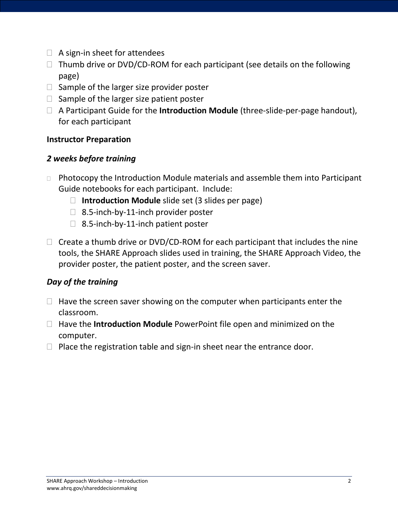- $\Box$  A sign-in sheet for attendees
- $\Box$  Thumb drive or DVD/CD-ROM for each participant (see details on the following page)
- $\Box$  Sample of the larger size provider poster
- $\Box$  Sample of the larger size patient poster
- A Participant Guide for the **Introduction Module** (three-slide-per-page handout), for each participant

## **Instructor Preparation**

## *2 weeks before training*

- $\Box$  Photocopy the Introduction Module materials and assemble them into Participant Guide notebooks for each participant. Include:
	- **Introduction Module** slide set (3 slides per page)
	- $\Box$  8.5-inch-by-11-inch provider poster
	- $\Box$  8.5-inch-by-11-inch patient poster
- $\Box$  Create a thumb drive or DVD/CD-ROM for each participant that includes the nine tools, the SHARE Approach slides used in training, the SHARE Approach Video, the provider poster, the patient poster, and the screen saver.

## *Day of the training*

- $\Box$  Have the screen saver showing on the computer when participants enter the classroom.
- Have the **Introduction Module** PowerPoint file open and minimized on the computer.
- $\Box$  Place the registration table and sign-in sheet near the entrance door.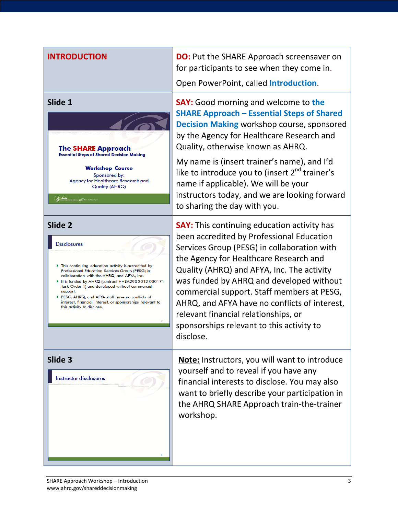

**INTRODUCTION DO:** Put the SHARE Approach screensaver on for participants to see when they come in. Open PowerPoint, called **Introduction**.

**Slide 1 SAY:** Good morning and welcome to the **SHARE Approach – Essential Steps of Shared Decision Making** workshop course, sponsored by the Agency for Healthcare Research and Quality, otherwise known as AHRQ.

> My name is (insert trainer's name), and I'd like to introduce you to (insert  $2^{nd}$  trainer's name if applicable). We will be your instructors today, and we are looking forward to sharing the day with you.

**Slide 2 SAY:** This continuing education activity has been accredited by Professional Education Services Group (PESG) in collaboration with the Agency for Healthcare Research and Quality (AHRQ) and AFYA, Inc. The activity was funded by AHRQ and developed without commercial support. Staff members at PESG, AHRQ, and AFYA have no conflicts of interest, relevant financial relationships, or sponsorships relevant to this activity to disclose.

**Slide 3 Note:** Instructors, you will want to introduce yourself and to reveal if you have any financial interests to disclose. You may also want to briefly describe your participation in the AHRQ SHARE Approach train-the-trainer workshop.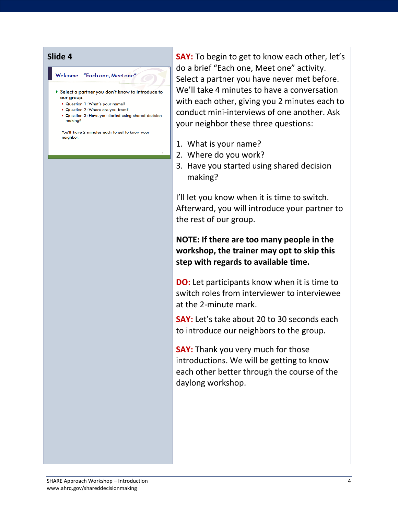### Welcome – "Each one, Meet one"

- Select a partner you don't know to introduce to our group.
	- Question 1: What's your name?
	- . Question 2: Where are you from?
	- . Question 3: Have you started using shared decision makina?

You'll have 2 minutes each to get to know your neighbor.

**Slide 4 SAY:** To begin to get to know each other, let's do a brief "Each one, Meet one" activity. Select a partner you have never met before. We'll take 4 minutes to have a conversation with each other, giving you 2 minutes each to conduct mini-interviews of one another. Ask your neighbor these three questions:

- 1. What is your name?
- 2. Where do you work?
- 3. Have you started using shared decision making?

I'll let you know when it is time to switch. Afterward, you will introduce your partner to the rest of our group.

**NOTE: If there are too many people in the workshop, the trainer may opt to skip this step with regards to available time.** 

**DO:** Let participants know when it is time to switch roles from interviewer to interviewee at the 2-minute mark.

**SAY:** Let's take about 20 to 30 seconds each to introduce our neighbors to the group.

**SAY:** Thank you very much for those introductions. We will be getting to know each other better through the course of the daylong workshop.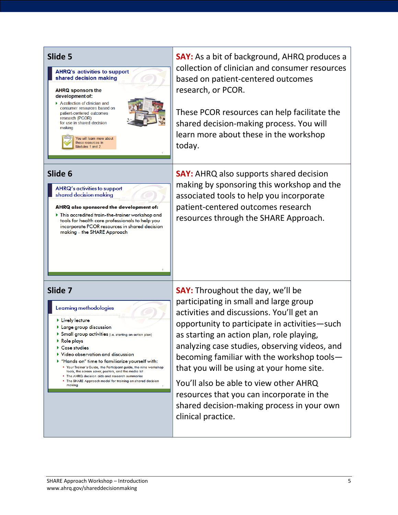

**Slide 5 SAY:** As a bit of background, AHRQ produces a collection of clinician and consumer resources based on patient-centered outcomes research, or PCOR.

> These PCOR resources can help facilitate the shared decision-making process. You will learn more about these in the workshop today.

**Slide 6 SAY:** AHRQ also supports shared decision making by sponsoring this workshop and the associated tools to help you incorporate patient-centered outcomes research resources through the SHARE Approach.

participating in small and large group activities and discussions. You'll get an opportunity to participate in activities—such as starting an action plan, role playing, analyzing case studies, observing videos, and becoming familiar with the workshop tools that you will be using at your home site.

You'll also be able to view other AHRQ resources that you can incorporate in the shared decision-making process in your own clinical practice.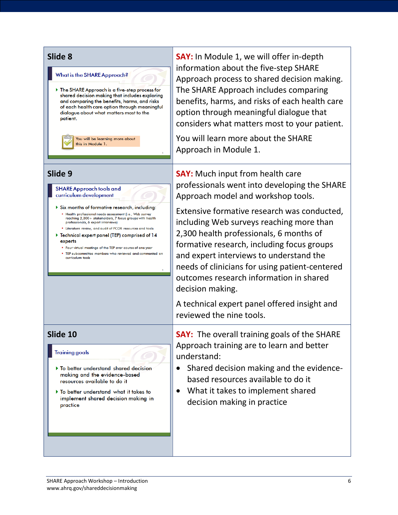### What is the SHARE Approach?

The SHARE Approach is a five-step process for shared decision making that includes exploring and comparing the benefits, harms, and risks of each health care option through meaningful dialogue about what matters most to the patient.

> You will be learning more about this in Module 1.

### **SHARE Approach tools and** curriculum development

- Six months of formative research, including: · Health professional needs assessment (i.e., Web survey reaching 2,300+ stakeholders, 7 focus groups with health professionals, 6 expert interviews)
- Literature review, and audit of PCOR resources and tools ▶ Technical expert panel (TEP) comprised of 14
- experts
- . Four virtual meetings of the TEP over course of one year
- . TEP subcommittee members who reviewed and commented on curriculum tools

### **Training goals**

- To better understand shared decision making and the evidence-based resources available to do it
- To better understand what it takes to implement shared decision making in practice

**Slide 8 Slide 8 SAY:** In Module 1, we will offer in-depth information about the five-step SHARE Approach process to shared decision making. The SHARE Approach includes comparing benefits, harms, and risks of each health care option through meaningful dialogue that considers what matters most to your patient.

> You will learn more about the SHARE Approach in Module 1.

**Slide 9 SAY:** Much input from health care professionals went into developing the SHARE Approach model and workshop tools.

> Extensive formative research was conducted, including Web surveys reaching more than 2,300 health professionals, 6 months of formative research, including focus groups and expert interviews to understand the needs of clinicians for using patient-centered outcomes research information in shared decision making.

A technical expert panel offered insight and reviewed the nine tools.

**Slide 10 SAY:** The overall training goals of the SHARE Approach training are to learn and better understand:

- Shared decision making and the evidencebased resources available to do it
- What it takes to implement shared decision making in practice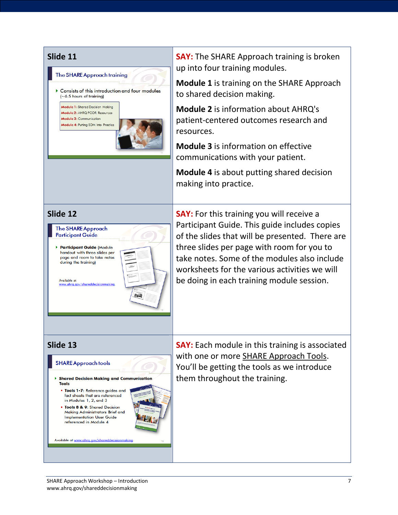

**Slide 11 SAY:** The SHARE Approach training is broken up into four training modules.

> **Module 1** is training on the SHARE Approach to shared decision making.

**Module 2** is information about AHRQ's patient-centered outcomes research and resources.

**Module 3** is information on effective communications with your patient.

**Module 4** is about putting shared decision making into practice.



**Slide 13 SAY:** Each module in this training is associated with one or more SHARE Approach Tools. You'll be getting the tools as we introduce them throughout the training.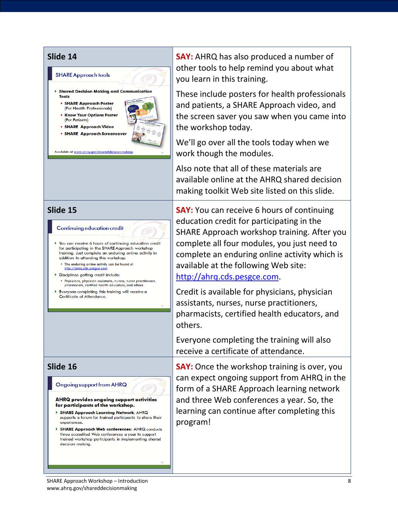

### Continuing education credit

- You can receive 6 hours of continuing education credit for participating in the SHARE Approach workshop training. Just complete an enduring online activity in addition to attending this workshop.
	- . The enduring online activity can be found at http://ahrg.cds.pesgce.com
- Disciplines getting credit include:
	- . Physicians, physician assistants, nurses, nurse practitioners,<br>pharmacists, certified health educators, and others
- $\blacktriangleright$  Everyone completing this training will receive a Certificate of Attendance.

### **Ongoing support from AHRQ**

### AHRQ provides ongoing support activities for participants of the workshop.

- SHARE Approach Learning Network: AHRQ supports a forum for trained participants to share their experiences
- > SHARE Approach Web conferences: AHRQ conducts three accredited Web conferences a year to support trained workshop participants in implementing shared decision making.

**Slide 14 SAY:** AHRQ has also produced a number of other tools to help remind you about what you learn in this training.

> These include posters for health professionals and patients, a SHARE Approach video, and the screen saver you saw when you came into the workshop today.

We'll go over all the tools today when we work though the modules.

Also note that all of these materials are available online at the AHRQ shared decision making toolkit Web site listed on this slide.

**Slide 15 SAY:** You can receive 6 hours of continuing education credit for participating in the SHARE Approach workshop training. After you complete all four modules, you just need to complete an enduring online activity which is available at the following Web site: [http://ahrq.cds.pesgce.com.](http://ahrq.cds.pesgce.com/)

> Credit is available for physicians, physician assistants, nurses, nurse practitioners, pharmacists, certified health educators, and others.

Everyone completing the training will also receive a certificate of attendance.

**Slide 16 SAY:** Once the workshop training is over, you can expect ongoing support from AHRQ in the form of a SHARE Approach learning network and three Web conferences a year. So, the learning can continue after completing this program!